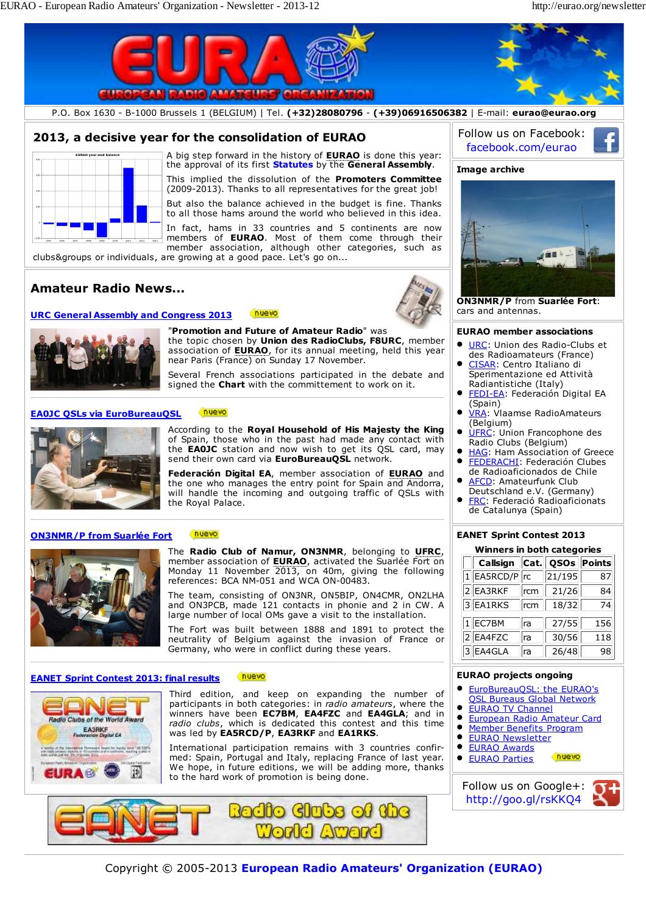